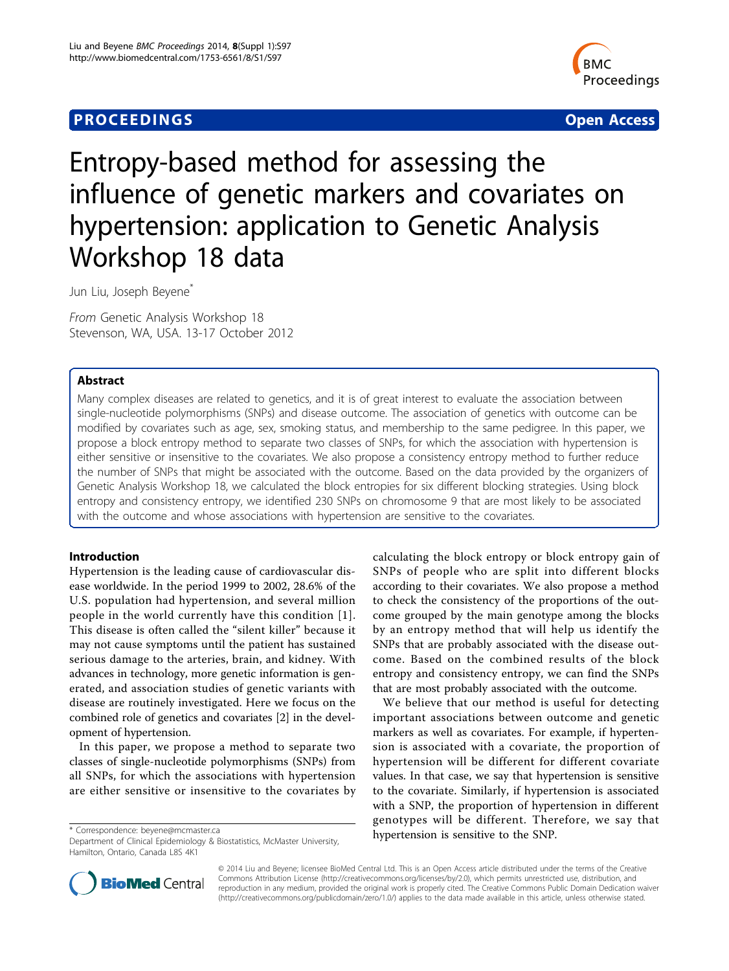## **PROCEEDINGS SECURE 2018 12:00 SECURE 2018 12:00 SECURE 2019 12:00 SECURE 2019 12:00 SECURE 2019 12:00 SECURE 30 SECURE 2019 12:00 SECURE 2019 12:00 SECURE 2019 12:00 SECURE 2019 12:00 SECURE 2019 12:00 SECURE 2019 12:00**



# Entropy-based method for assessing the influence of genetic markers and covariates on hypertension: application to Genetic Analysis Workshop 18 data

Jun Liu, Joseph Beyene<sup>\*</sup>

From Genetic Analysis Workshop 18 Stevenson, WA, USA. 13-17 October 2012

## Abstract

Many complex diseases are related to genetics, and it is of great interest to evaluate the association between single-nucleotide polymorphisms (SNPs) and disease outcome. The association of genetics with outcome can be modified by covariates such as age, sex, smoking status, and membership to the same pedigree. In this paper, we propose a block entropy method to separate two classes of SNPs, for which the association with hypertension is either sensitive or insensitive to the covariates. We also propose a consistency entropy method to further reduce the number of SNPs that might be associated with the outcome. Based on the data provided by the organizers of Genetic Analysis Workshop 18, we calculated the block entropies for six different blocking strategies. Using block entropy and consistency entropy, we identified 230 SNPs on chromosome 9 that are most likely to be associated with the outcome and whose associations with hypertension are sensitive to the covariates.

## Introduction

Hypertension is the leading cause of cardiovascular disease worldwide. In the period 1999 to 2002, 28.6% of the U.S. population had hypertension, and several million people in the world currently have this condition [[1\]](#page-5-0). This disease is often called the "silent killer" because it may not cause symptoms until the patient has sustained serious damage to the arteries, brain, and kidney. With advances in technology, more genetic information is generated, and association studies of genetic variants with disease are routinely investigated. Here we focus on the combined role of genetics and covariates [[2\]](#page-5-0) in the development of hypertension.

In this paper, we propose a method to separate two classes of single-nucleotide polymorphisms (SNPs) from all SNPs, for which the associations with hypertension are either sensitive or insensitive to the covariates by

Department of Clinical Epidemiology & Biostatistics, McMaster University, Hamilton, Ontario, Canada L8S 4K1

calculating the block entropy or block entropy gain of SNPs of people who are split into different blocks according to their covariates. We also propose a method to check the consistency of the proportions of the outcome grouped by the main genotype among the blocks by an entropy method that will help us identify the SNPs that are probably associated with the disease outcome. Based on the combined results of the block entropy and consistency entropy, we can find the SNPs that are most probably associated with the outcome.

We believe that our method is useful for detecting important associations between outcome and genetic markers as well as covariates. For example, if hypertension is associated with a covariate, the proportion of hypertension will be different for different covariate values. In that case, we say that hypertension is sensitive to the covariate. Similarly, if hypertension is associated with a SNP, the proportion of hypertension in different genotypes will be different. Therefore, we say that hypertension is sensitive to the SNP. \* Correspondence: [beyene@mcmaster.ca](mailto:beyene@mcmaster.ca)



© 2014 Liu and Beyene; licensee BioMed Central Ltd. This is an Open Access article distributed under the terms of the Creative Commons Attribution License [\(http://creativecommons.org/licenses/by/2.0](http://creativecommons.org/licenses/by/2.0)), which permits unrestricted use, distribution, and reproduction in any medium, provided the original work is properly cited. The Creative Commons Public Domain Dedication waiver [\(http://creativecommons.org/publicdomain/zero/1.0/](http://creativecommons.org/publicdomain/zero/1.0/)) applies to the data made available in this article, unless otherwise stated.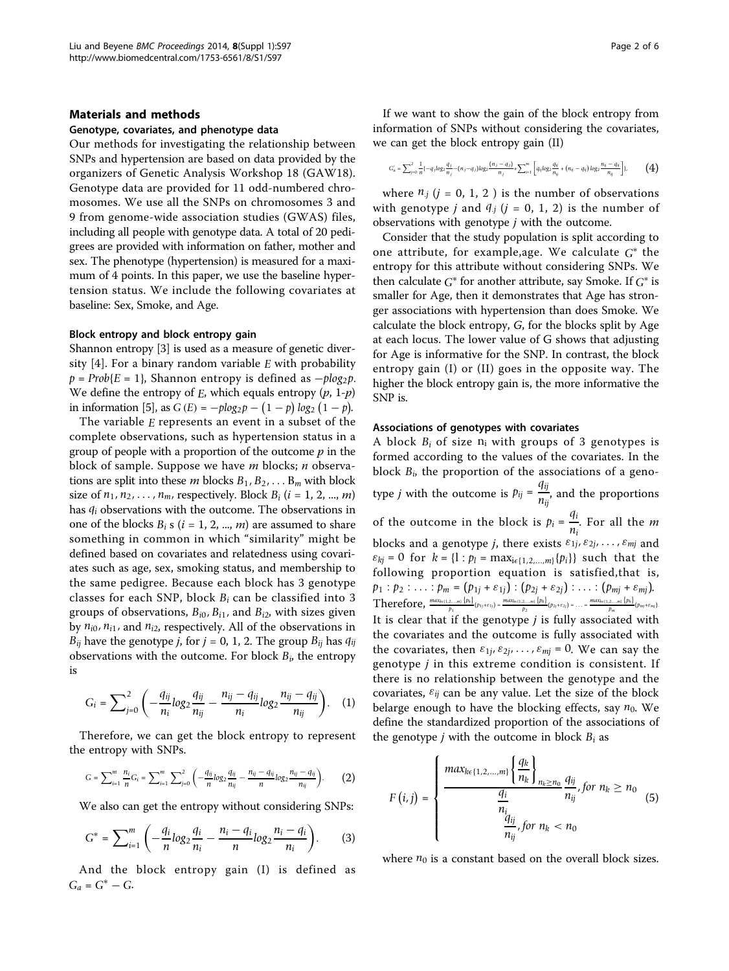## Materials and methods

## Genotype, covariates, and phenotype data

Our methods for investigating the relationship between SNPs and hypertension are based on data provided by the organizers of Genetic Analysis Workshop 18 (GAW18). Genotype data are provided for 11 odd-numbered chromosomes. We use all the SNPs on chromosomes 3 and 9 from genome-wide association studies (GWAS) files, including all people with genotype data. A total of 20 pedigrees are provided with information on father, mother and sex. The phenotype (hypertension) is measured for a maximum of 4 points. In this paper, we use the baseline hypertension status. We include the following covariates at baseline: Sex, Smoke, and Age.

#### Block entropy and block entropy gain

Shannon entropy [\[3\]](#page-5-0) is used as a measure of genetic diversity [\[4](#page-5-0)]. For a binary random variable *E* with probability *p* = *Prob*{*E* = 1}, Shannon entropy is defined as −*plog*2*p*. We define the entropy of  $E$ , which equals entropy  $(p, 1-p)$ in information [\[5\]](#page-5-0), as  $G(E) = -p \log_2 p - (1 - p) \log_2 (1 - p)$ .

The variable *E* represents an event in a subset of the complete observations, such as hypertension status in a group of people with a proportion of the outcome  $p$  in the block of sample. Suppose we have  $m$  blocks;  $n$  observations are split into these *m* blocks  $B_1, B_2, \ldots, B_m$  with block size of  $n_1, n_2, \ldots, n_m$ , respectively. Block  $B_i$  ( $i = 1, 2, ..., m$ ) has *qi* observations with the outcome. The observations in one of the blocks  $B_i$  s ( $i = 1, 2, ..., m$ ) are assumed to share something in common in which "similarity" might be defined based on covariates and relatedness using covariates such as age, sex, smoking status, and membership to the same pedigree. Because each block has 3 genotype classes for each SNP, block *Bi* can be classified into 3 groups of observations, *Bi*0, *Bi*1, and *Bi*2, with sizes given by *ni*0, *ni*1, and *ni*2, respectively. All of the observations in  $B_{ij}$  have the genotype *j*, for *j* = 0, 1, 2. The group  $B_{ij}$  has  $q_{ij}$ observations with the outcome. For block  $B_i$ , the entropy is

$$
G_i = \sum_{j=0}^{2} \left( -\frac{q_{ij}}{n_i} log_2 \frac{q_{ij}}{n_{ij}} - \frac{n_{ij} - q_{ij}}{n_i} log_2 \frac{n_{ij} - q_{ij}}{n_{ij}} \right). \quad (1)
$$

Therefore, we can get the block entropy to represent the entropy with SNPs.

$$
G = \sum_{i=1}^{m} \frac{n_i}{n} G_i = \sum_{i=1}^{m} \sum_{j=0}^{2} \left( -\frac{q_{ij}}{n} log_2 \frac{q_{ij}}{n_{ij}} - \frac{n_{ij} - q_{ij}}{n} log_2 \frac{n_{ij} - q_{ij}}{n_{ij}} \right). \tag{2}
$$

We also can get the entropy without considering SNPs:

$$
G^* = \sum_{i=1}^m \left( -\frac{q_i}{n} \log_2 \frac{q_i}{n_i} - \frac{n_i - q_i}{n} \log_2 \frac{n_i - q_i}{n_i} \right). \tag{3}
$$

And the block entropy gain (I) is defined as  $G_a = G^* - G$ .

If we want to show the gain of the block entropy from information of SNPs without considering the covariates, we can get the block entropy gain (II)

$$
G'_a = \sum_{j=0}^2 \frac{1}{n} \{-q_j \log_2 \frac{q_j}{n_j} - (n_j - q_j) \log_2 \frac{(n_j - q_j)}{n_j} + \sum_{i=1}^m \left[ q_{ij} \log_2 \frac{q_{ij}}{n_{ij}} + (n_{ij} - q_{ij}) \log_2 \frac{n_{ij} - q_{ij}}{n_{ij}} \right] \},
$$
 (4)

where  $n_j$  ( $j = 0, 1, 2$ ) is the number of observations with genotype *j* and  $q_j$  ( $j = 0, 1, 2$ ) is the number of observations with genotype j with the outcome.

Consider that the study population is split according to one attribute, for example,age. We calculate *G*<sup>∗</sup> the entropy for this attribute without considering SNPs. We then calculate *G*<sup>∗</sup> for another attribute, say Smoke. If *G*<sup>∗</sup> is smaller for Age, then it demonstrates that Age has stronger associations with hypertension than does Smoke. We calculate the block entropy, G, for the blocks split by Age at each locus. The lower value of G shows that adjusting for Age is informative for the SNP. In contrast, the block entropy gain (I) or (II) goes in the opposite way. The higher the block entropy gain is, the more informative the SNP is.

## Associations of genotypes with covariates

A block  $B_i$  of size  $n_i$  with groups of 3 genotypes is formed according to the values of the covariates. In the block  $B_i$ , the proportion of the associations of a genotype *j* with the outcome is  $p_{ij} = \frac{q_{ij}}{n_{ij}}$ , and the proportions of the outcome in the block is  $p_i = \frac{q_i}{n_i}$ . For all the *m* blocks and a genotype *j*, there exists  $\varepsilon_{1j}$ ,  $\varepsilon_{2j}$ , ...,  $\varepsilon_{mj}$  and  $\varepsilon_{kj} = 0$  for  $k = \{1 : p_l = \max_{i \in \{1, 2, ..., m\}} \{p_i\} \}$  such that the following proportion equation is satisfied,that is,  $p_1 : p_2 : \ldots : p_m = (p_{1j} + \varepsilon_{1j}) : (p_{2j} + \varepsilon_{2j}) : \ldots : (p_{mj} + \varepsilon_{mj})$ . **Therefore,**  $\frac{max_{k(1,2,...,m)}\{p_k\}}{p_1}(p_{1j}+s_{1j}) = \frac{max_{k(1,2,...,m)}\{p_k\}}{p_2}(p_{2j}+s_{2j}) = ... = \frac{max_{k(1,2,...,m)}\{p_k\}}{p_m}(p_{mj}+s_{mj})$ It is clear that if the genotype  $j$  is fully associated with the covariates and the outcome is fully associated with the covariates, then  $\varepsilon_{1j}$ ,  $\varepsilon_{2j}$ , ...,  $\varepsilon_{mj}$  = 0. We can say the genotype  $j$  in this extreme condition is consistent. If there is no relationship between the genotype and the covariates,  $\varepsilon_{ij}$  can be any value. Let the size of the block belarge enough to have the blocking effects, say  $n_0$ . We define the standardized proportion of the associations of the genotype *j* with the outcome in block  $B_i$  as

$$
F(i,j) = \begin{cases} \frac{max_{k \in \{1,2,\ldots,m\}} \left\{ \frac{q_k}{n_k} \right\}_{n_k \ge n_0} q_{ij}}{\frac{q_i}{n_{ij}} \cdot \text{for } n_k \ge n_0} \\ \frac{q_i}{n_{ij}} \cdot \text{for } n_k < n_0 \end{cases} \tag{5}
$$

where  $n_0$  is a constant based on the overall block sizes.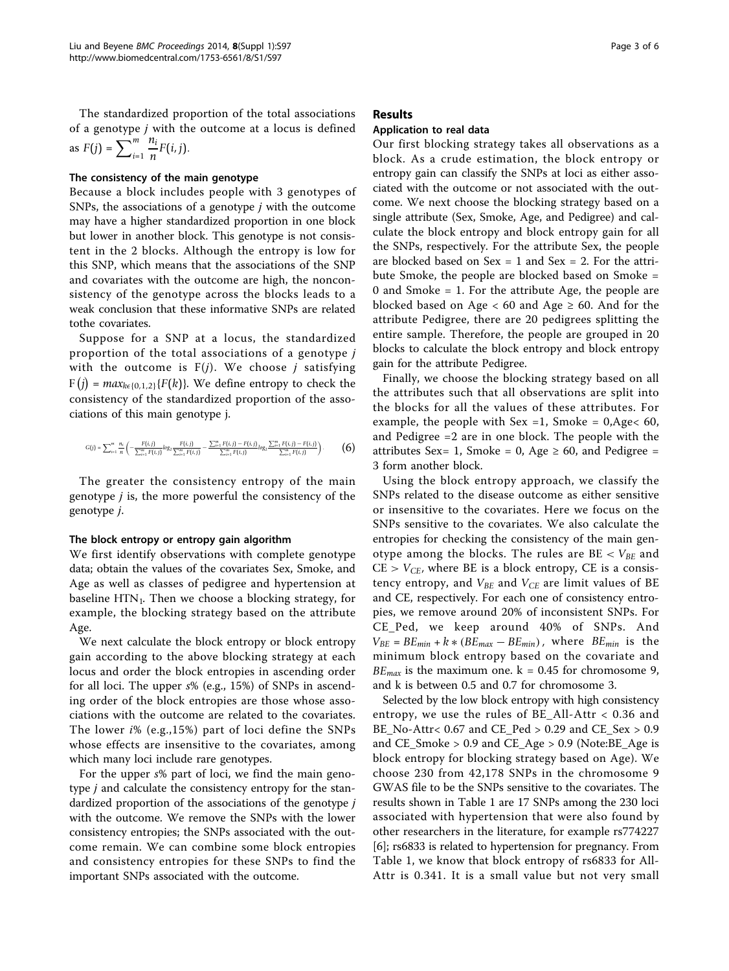The standardized proportion of the total associations of a genotype j with the outcome at a locus is defined as  $F(j) = \sum_{i=1}^{m}$ *ni*  $\frac{n}{n}F(i,j).$ 

## The consistency of the main genotype

Because a block includes people with 3 genotypes of SNPs, the associations of a genotype  $j$  with the outcome may have a higher standardized proportion in one block but lower in another block. This genotype is not consistent in the 2 blocks. Although the entropy is low for this SNP, which means that the associations of the SNP and covariates with the outcome are high, the nonconsistency of the genotype across the blocks leads to a weak conclusion that these informative SNPs are related tothe covariates.

Suppose for a SNP at a locus, the standardized proportion of the total associations of a genotype j with the outcome is  $F(j)$ . We choose *j* satisfying  $F(j) = max_{k \in \{0,1,2\}} \{F(k)\}.$  We define entropy to check the consistency of the standardized proportion of the associations of this main genotype j.

$$
G(j) = \sum\nolimits_{i = 1}^m \frac{n_i}{n} \left( - \frac{F(i,j)}{\sum\nolimits_{i = 1}^m F(i,j)} \log_2 \frac{F(i,j)}{\sum\nolimits_{i = 1}^m F(i,j)} - \frac{\sum\nolimits_{i = 1}^m F(i,j) - F(i,j)}{\sum\nolimits_{i = 1}^m F(i,j)} \log_2 \frac{\sum\nolimits_{i = 1}^m F(i,j) - F(i,j)}{\sum\nolimits_{i = 1}^m F(i,j)} \right). \tag{6}
$$

The greater the consistency entropy of the main genotype  $j$  is, the more powerful the consistency of the genotype j.

#### The block entropy or entropy gain algorithm

We first identify observations with complete genotype data; obtain the values of the covariates Sex, Smoke, and Age as well as classes of pedigree and hypertension at baseline  $HTN<sub>1</sub>$ . Then we choose a blocking strategy, for example, the blocking strategy based on the attribute Age.

We next calculate the block entropy or block entropy gain according to the above blocking strategy at each locus and order the block entropies in ascending order for all loci. The upper s% (e.g., 15%) of SNPs in ascending order of the block entropies are those whose associations with the outcome are related to the covariates. The lower i% (e.g.,15%) part of loci define the SNPs whose effects are insensitive to the covariates, among which many loci include rare genotypes.

For the upper s% part of loci, we find the main genotype j and calculate the consistency entropy for the standardized proportion of the associations of the genotype j with the outcome. We remove the SNPs with the lower consistency entropies; the SNPs associated with the outcome remain. We can combine some block entropies and consistency entropies for these SNPs to find the important SNPs associated with the outcome.

## Results

## Application to real data

Our first blocking strategy takes all observations as a block. As a crude estimation, the block entropy or entropy gain can classify the SNPs at loci as either associated with the outcome or not associated with the outcome. We next choose the blocking strategy based on a single attribute (Sex, Smoke, Age, and Pedigree) and calculate the block entropy and block entropy gain for all the SNPs, respectively. For the attribute Sex, the people are blocked based on  $Sex = 1$  and  $Sex = 2$ . For the attribute Smoke, the people are blocked based on Smoke = 0 and Smoke = 1. For the attribute Age, the people are blocked based on Age  $< 60$  and Age  $\geq 60$ . And for the attribute Pedigree, there are 20 pedigrees splitting the entire sample. Therefore, the people are grouped in 20 blocks to calculate the block entropy and block entropy gain for the attribute Pedigree.

Finally, we choose the blocking strategy based on all the attributes such that all observations are split into the blocks for all the values of these attributes. For example, the people with Sex =1, Smoke =  $0, \text{Age} < 60$ , and Pedigree =2 are in one block. The people with the attributes Sex= 1, Smoke = 0, Age  $\geq$  60, and Pedigree = 3 form another block.

Using the block entropy approach, we classify the SNPs related to the disease outcome as either sensitive or insensitive to the covariates. Here we focus on the SNPs sensitive to the covariates. We also calculate the entropies for checking the consistency of the main genotype among the blocks. The rules are  $BE < V_{BE}$  and  $CE > V_{CE}$ , where BE is a block entropy, CE is a consistency entropy, and  $V_{BE}$  and  $V_{CE}$  are limit values of BE and CE, respectively. For each one of consistency entropies, we remove around 20% of inconsistent SNPs. For CE\_Ped, we keep around 40% of SNPs. And  $V_{BE} = BE_{min} + k * (BE_{max} - BE_{min})$ , where  $BE_{min}$  is the minimum block entropy based on the covariate and  $BE_{max}$  is the maximum one.  $k = 0.45$  for chromosome 9, and k is between 0.5 and 0.7 for chromosome 3.

Selected by the low block entropy with high consistency entropy, we use the rules of BE\_All-Attr < 0.36 and BE\_No-Attr< 0.67 and CE\_Ped > 0.29 and CE\_Sex > 0.9 and CE\_Smoke > 0.9 and CE\_Age > 0.9 (Note:BE\_Age is block entropy for blocking strategy based on Age). We choose 230 from 42,178 SNPs in the chromosome 9 GWAS file to be the SNPs sensitive to the covariates. The results shown in Table [1](#page-3-0) are 17 SNPs among the 230 loci associated with hypertension that were also found by other researchers in the literature, for example rs774227 [[6\]](#page-5-0); rs6833 is related to hypertension for pregnancy. From Table [1,](#page-3-0) we know that block entropy of rs6833 for All-Attr is 0.341. It is a small value but not very small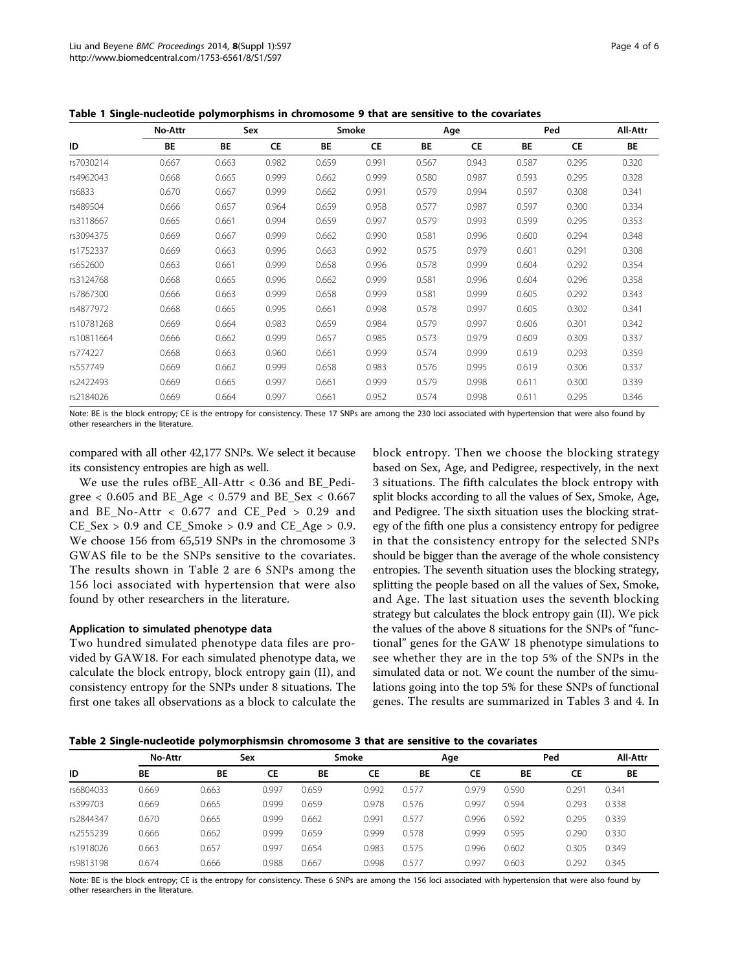<span id="page-3-0"></span>

|  |  | Table 1 Single-nucleotide polymorphisms in chromosome 9 that are sensitive to the covariates |  |  |  |  |
|--|--|----------------------------------------------------------------------------------------------|--|--|--|--|
|--|--|----------------------------------------------------------------------------------------------|--|--|--|--|

|            | No-Attr   |       | Sex   |           | <b>Smoke</b> |           | Age       |           | Ped       | <b>All-Attr</b> |
|------------|-----------|-------|-------|-----------|--------------|-----------|-----------|-----------|-----------|-----------------|
| ID         | <b>BE</b> | BE    | CE    | <b>BE</b> | CE           | <b>BE</b> | <b>CE</b> | <b>BE</b> | <b>CE</b> | <b>BE</b>       |
| rs7030214  | 0.667     | 0.663 | 0.982 | 0.659     | 0.991        | 0.567     | 0.943     | 0.587     | 0.295     | 0.320           |
| rs4962043  | 0.668     | 0.665 | 0.999 | 0.662     | 0.999        | 0.580     | 0.987     | 0.593     | 0.295     | 0.328           |
| rs6833     | 0.670     | 0.667 | 0.999 | 0.662     | 0.991        | 0.579     | 0.994     | 0.597     | 0.308     | 0.341           |
| rs489504   | 0.666     | 0.657 | 0.964 | 0.659     | 0.958        | 0.577     | 0.987     | 0.597     | 0.300     | 0.334           |
| rs3118667  | 0.665     | 0.661 | 0.994 | 0.659     | 0.997        | 0.579     | 0.993     | 0.599     | 0.295     | 0.353           |
| rs3094375  | 0.669     | 0.667 | 0.999 | 0.662     | 0.990        | 0.581     | 0.996     | 0.600     | 0.294     | 0.348           |
| rs1752337  | 0.669     | 0.663 | 0.996 | 0.663     | 0.992        | 0.575     | 0.979     | 0.601     | 0.291     | 0.308           |
| rs652600   | 0.663     | 0.661 | 0.999 | 0.658     | 0.996        | 0.578     | 0.999     | 0.604     | 0.292     | 0.354           |
| rs3124768  | 0.668     | 0.665 | 0.996 | 0.662     | 0.999        | 0.581     | 0.996     | 0.604     | 0.296     | 0.358           |
| rs7867300  | 0.666     | 0.663 | 0.999 | 0.658     | 0.999        | 0.581     | 0.999     | 0.605     | 0.292     | 0.343           |
| rs4877972  | 0.668     | 0.665 | 0.995 | 0.661     | 0.998        | 0.578     | 0.997     | 0.605     | 0.302     | 0.341           |
| rs10781268 | 0.669     | 0.664 | 0.983 | 0.659     | 0.984        | 0.579     | 0.997     | 0.606     | 0.301     | 0.342           |
| rs10811664 | 0.666     | 0.662 | 0.999 | 0.657     | 0.985        | 0.573     | 0.979     | 0.609     | 0.309     | 0.337           |
| rs774227   | 0.668     | 0.663 | 0.960 | 0.661     | 0.999        | 0.574     | 0.999     | 0.619     | 0.293     | 0.359           |
| rs557749   | 0.669     | 0.662 | 0.999 | 0.658     | 0.983        | 0.576     | 0.995     | 0.619     | 0.306     | 0.337           |
| rs2422493  | 0.669     | 0.665 | 0.997 | 0.661     | 0.999        | 0.579     | 0.998     | 0.611     | 0.300     | 0.339           |
| rs2184026  | 0.669     | 0.664 | 0.997 | 0.661     | 0.952        | 0.574     | 0.998     | 0.611     | 0.295     | 0.346           |

Note: BE is the block entropy; CE is the entropy for consistency. These 17 SNPs are among the 230 loci associated with hypertension that were also found by other researchers in the literature.

compared with all other 42,177 SNPs. We select it because its consistency entropies are high as well.

We use the rules ofBE\_All-Attr < 0.36 and BE\_Pedigree  $< 0.605$  and BE\_Age  $< 0.579$  and BE\_Sex  $< 0.667$ and BE\_No-Attr < 0.677 and CE\_Ped > 0.29 and CE Sex  $> 0.9$  and CE Smoke  $> 0.9$  and CE Age  $> 0.9$ . We choose 156 from 65,519 SNPs in the chromosome 3 GWAS file to be the SNPs sensitive to the covariates. The results shown in Table 2 are 6 SNPs among the 156 loci associated with hypertension that were also found by other researchers in the literature.

## Application to simulated phenotype data

Two hundred simulated phenotype data files are provided by GAW18. For each simulated phenotype data, we calculate the block entropy, block entropy gain (II), and consistency entropy for the SNPs under 8 situations. The first one takes all observations as a block to calculate the block entropy. Then we choose the blocking strategy based on Sex, Age, and Pedigree, respectively, in the next 3 situations. The fifth calculates the block entropy with split blocks according to all the values of Sex, Smoke, Age, and Pedigree. The sixth situation uses the blocking strategy of the fifth one plus a consistency entropy for pedigree in that the consistency entropy for the selected SNPs should be bigger than the average of the whole consistency entropies. The seventh situation uses the blocking strategy, splitting the people based on all the values of Sex, Smoke, and Age. The last situation uses the seventh blocking strategy but calculates the block entropy gain (II). We pick the values of the above 8 situations for the SNPs of "functional" genes for the GAW 18 phenotype simulations to see whether they are in the top 5% of the SNPs in the simulated data or not. We count the number of the simulations going into the top 5% for these SNPs of functional genes. The results are summarized in Tables [3](#page-4-0) and [4.](#page-4-0) In

Table 2 Single-nucleotide polymorphismsin chromosome 3 that are sensitive to the covariates

|           | <b>No-Attr</b> |           | Sex       |           | Smoke     |       | Age       |       | Ped       | All-Attr |
|-----------|----------------|-----------|-----------|-----------|-----------|-------|-----------|-------|-----------|----------|
| ID        | <b>BE</b>      | <b>BE</b> | <b>CE</b> | <b>BE</b> | <b>CE</b> | BE    | <b>CE</b> | BE    | <b>CE</b> | BE       |
| rs6804033 | 0.669          | 0.663     | 0.997     | 0.659     | 0.992     | 0.577 | 0.979     | 0.590 | 0.291     | 0.341    |
| rs399703  | 0.669          | 0.665     | 0.999     | 0.659     | 0.978     | 0.576 | 0.997     | 0.594 | 0.293     | 0.338    |
| rs2844347 | 0.670          | 0.665     | 0.999     | 0.662     | 0.991     | 0.577 | 0.996     | 0.592 | 0.295     | 0.339    |
| rs2555239 | 0.666          | 0.662     | 0.999     | 0.659     | 0.999     | 0.578 | 0.999     | 0.595 | 0.290     | 0.330    |
| rs1918026 | 0.663          | 0.657     | 0.997     | 0.654     | 0.983     | 0.575 | 0.996     | 0.602 | 0.305     | 0.349    |
| rs9813198 | 0.674          | 0.666     | 0.988     | 0.667     | 0.998     | 0.577 | 0.997     | 0.603 | 0.292     | 0.345    |

Note: BE is the block entropy; CE is the entropy for consistency. These 6 SNPs are among the 156 loci associated with hypertension that were also found by other researchers in the literature.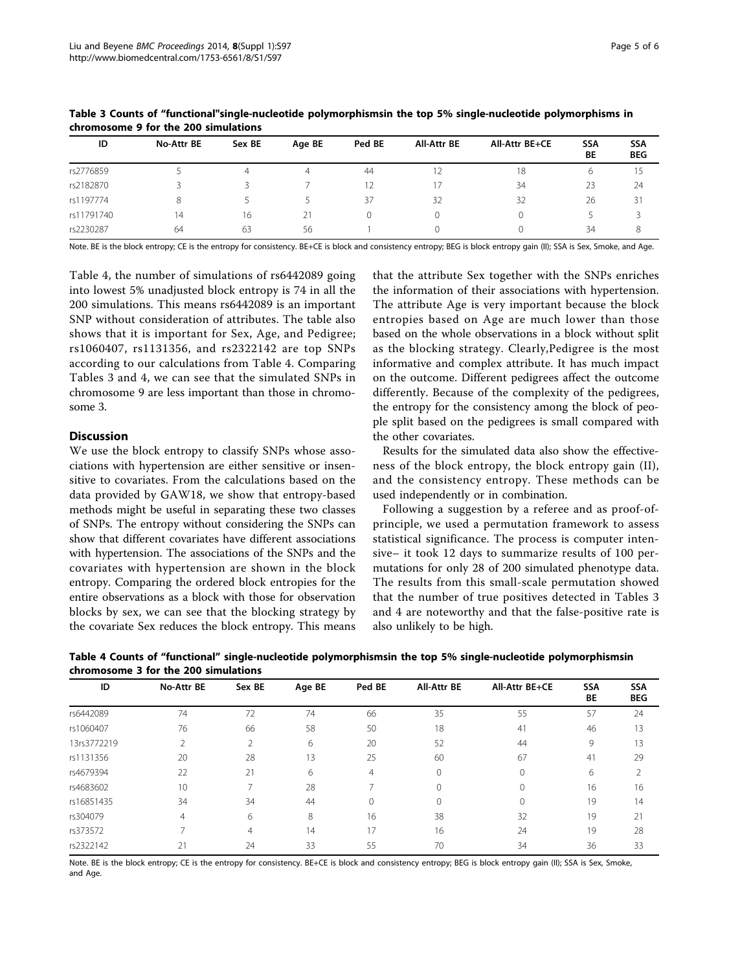| ID         | No-Attr BE | Sex BE | Age BE | Ped BE | All-Attr BE | All-Attr BE+CE | <b>SSA</b><br><b>BE</b> | <b>SSA</b><br><b>BEG</b> |
|------------|------------|--------|--------|--------|-------------|----------------|-------------------------|--------------------------|
| rs2776859  |            |        | 4      | 44     |             | 18             | 6                       | 15                       |
| rs2182870  |            | Ç      |        | 12     |             | 34             | 23                      | 24                       |
| rs1197774  | 8          |        |        | 37     | 32          | 32             | 26                      | 31                       |
| rs11791740 | 14         | 16     | 21     |        |             |                |                         |                          |
| rs2230287  | 64         | 63     | 56     |        |             |                | 34                      | 8                        |

<span id="page-4-0"></span>Table 3 Counts of "functional"single-nucleotide polymorphismsin the top 5% single-nucleotide polymorphisms in chromosome 9 for the 200 simulations

Note. BE is the block entropy; CE is the entropy for consistency. BE+CE is block and consistency entropy; BEG is block entropy gain (II); SSA is Sex, Smoke, and Age.

Table 4, the number of simulations of rs6442089 going into lowest 5% unadjusted block entropy is 74 in all the 200 simulations. This means rs6442089 is an important SNP without consideration of attributes. The table also shows that it is important for Sex, Age, and Pedigree; rs1060407, rs1131356, and rs2322142 are top SNPs according to our calculations from Table 4. Comparing Tables 3 and 4, we can see that the simulated SNPs in chromosome 9 are less important than those in chromosome 3.

## **Discussion**

We use the block entropy to classify SNPs whose associations with hypertension are either sensitive or insensitive to covariates. From the calculations based on the data provided by GAW18, we show that entropy-based methods might be useful in separating these two classes of SNPs. The entropy without considering the SNPs can show that different covariates have different associations with hypertension. The associations of the SNPs and the covariates with hypertension are shown in the block entropy. Comparing the ordered block entropies for the entire observations as a block with those for observation blocks by sex, we can see that the blocking strategy by the covariate Sex reduces the block entropy. This means

that the attribute Sex together with the SNPs enriches the information of their associations with hypertension. The attribute Age is very important because the block entropies based on Age are much lower than those based on the whole observations in a block without split as the blocking strategy. Clearly,Pedigree is the most informative and complex attribute. It has much impact on the outcome. Different pedigrees affect the outcome differently. Because of the complexity of the pedigrees, the entropy for the consistency among the block of people split based on the pedigrees is small compared with the other covariates.

Results for the simulated data also show the effectiveness of the block entropy, the block entropy gain (II), and the consistency entropy. These methods can be used independently or in combination.

Following a suggestion by a referee and as proof-ofprinciple, we used a permutation framework to assess statistical significance. The process is computer intensive– it took 12 days to summarize results of 100 permutations for only 28 of 200 simulated phenotype data. The results from this small-scale permutation showed that the number of true positives detected in Tables 3 and 4 are noteworthy and that the false-positive rate is also unlikely to be high.

Table 4 Counts of "functional" single-nucleotide polymorphismsin the top 5% single-nucleotide polymorphismsin chromosome 3 for the 200 simulations

| .                 |               |        |                |                    |                |                  |                          |
|-------------------|---------------|--------|----------------|--------------------|----------------|------------------|--------------------------|
| <b>No-Attr BE</b> | Sex BE        | Age BE | Ped BE         | <b>All-Attr BE</b> | All-Attr BE+CE | <b>SSA</b><br>BE | <b>SSA</b><br><b>BEG</b> |
| 74                | 72            | 74     | 66             | 35                 | 55             | 57               | 24                       |
| 76                | 66            | 58     | 50             | 18                 | 41             | 46               | 13                       |
| $\overline{2}$    | $\mathcal{D}$ | 6      | 20             | 52                 | 44             | 9                | 13                       |
| 20                | 28            | 13     | 25             | 60                 | 67             | 41               | 29                       |
| 22                | 21            | 6      | $\overline{4}$ |                    | 0              | 6                |                          |
| 10                |               | 28     |                |                    |                | 16               | 16                       |
| 34                | 34            | 44     | 0              |                    | 0              | 19               | 14                       |
| $\overline{4}$    | 6             | 8      | 16             | 38                 | 32             | 19               | 21                       |
|                   | 4             | 14     | 17             | 16                 | 24             | 19               | 28                       |
| 21                | 24            | 33     | 55             | 70                 | 34             | 36               | 33                       |
|                   |               |        |                |                    |                |                  |                          |

Note. BE is the block entropy; CE is the entropy for consistency. BE+CE is block and consistency entropy; BEG is block entropy gain (II); SSA is Sex, Smoke, and Age.